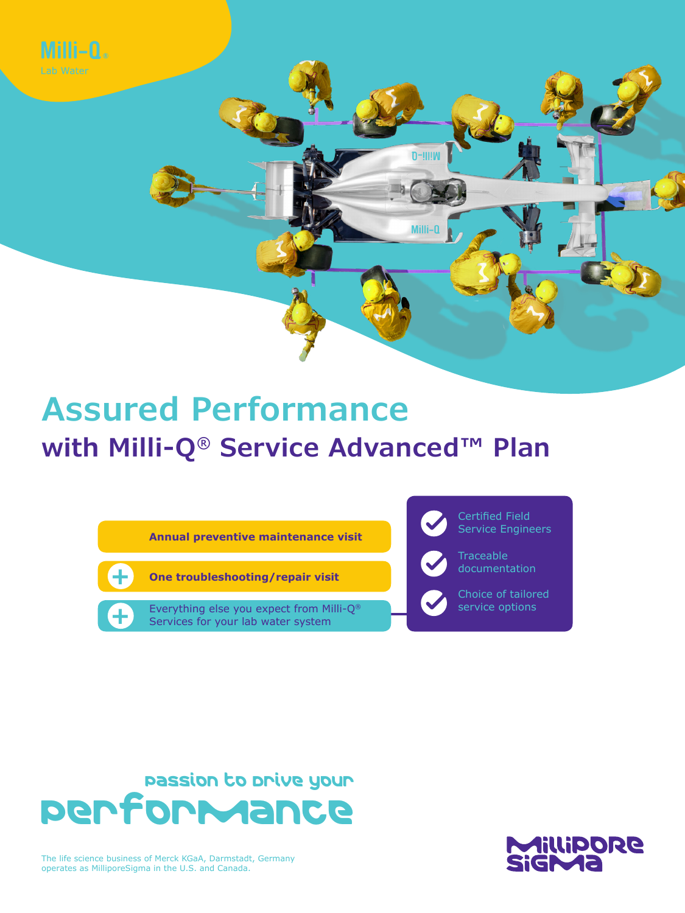

# **Assured Performance with Milli-Q® Service Advanced™ Plan**

**Annual preventive maintenance visit**



**+**

**One troubleshooting/repair visit**

Everything else you expect from Milli-Q® Services for your lab water system



Passion to Drive your Performance



The life science business of Merck KGaA, Darmstadt, Germany operates as MilliporeSigma in the U.S. and Canada.